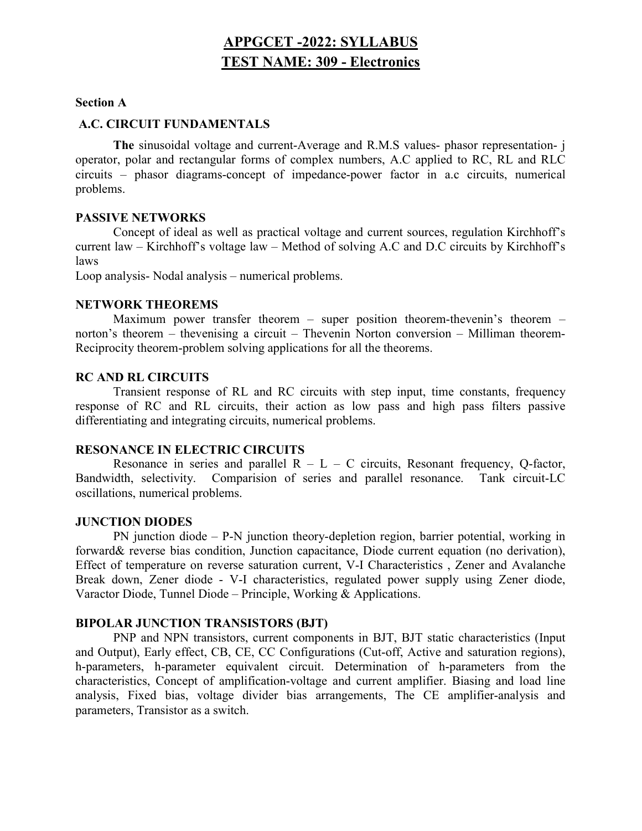# APPGCET -2022: SYLLABUS TEST NAME: 309 - Electronics

#### Section A

#### A.C. CIRCUIT FUNDAMENTALS

 The sinusoidal voltage and current-Average and R.M.S values- phasor representation- j operator, polar and rectangular forms of complex numbers, A.C applied to RC, RL and RLC circuits – phasor diagrams-concept of impedance-power factor in a.c circuits, numerical problems.

#### PASSIVE NETWORKS

 Concept of ideal as well as practical voltage and current sources, regulation Kirchhoff's current law – Kirchhoff's voltage law – Method of solving A.C and D.C circuits by Kirchhoff's laws

Loop analysis- Nodal analysis – numerical problems.

#### NETWORK THEOREMS

 Maximum power transfer theorem – super position theorem-thevenin's theorem – norton's theorem – thevenising a circuit – Thevenin Norton conversion – Milliman theorem-Reciprocity theorem-problem solving applications for all the theorems.

## RC AND RL CIRCUITS

 Transient response of RL and RC circuits with step input, time constants, frequency response of RC and RL circuits, their action as low pass and high pass filters passive differentiating and integrating circuits, numerical problems.

#### RESONANCE IN ELECTRIC CIRCUITS

Resonance in series and parallel  $R - L - C$  circuits, Resonant frequency, Q-factor, Bandwidth, selectivity. Comparision of series and parallel resonance. Tank circuit-LC oscillations, numerical problems.

#### JUNCTION DIODES

PN junction diode – P-N junction theory-depletion region, barrier potential, working in forward& reverse bias condition, Junction capacitance, Diode current equation (no derivation), Effect of temperature on reverse saturation current, V-I Characteristics , Zener and Avalanche Break down, Zener diode - V-I characteristics, regulated power supply using Zener diode, Varactor Diode, Tunnel Diode – Principle, Working & Applications.

## BIPOLAR JUNCTION TRANSISTORS (BJT)

PNP and NPN transistors, current components in BJT, BJT static characteristics (Input and Output), Early effect, CB, CE, CC Configurations (Cut-off, Active and saturation regions), h-parameters, h-parameter equivalent circuit. Determination of h-parameters from the characteristics, Concept of amplification-voltage and current amplifier. Biasing and load line analysis, Fixed bias, voltage divider bias arrangements, The CE amplifier-analysis and parameters, Transistor as a switch.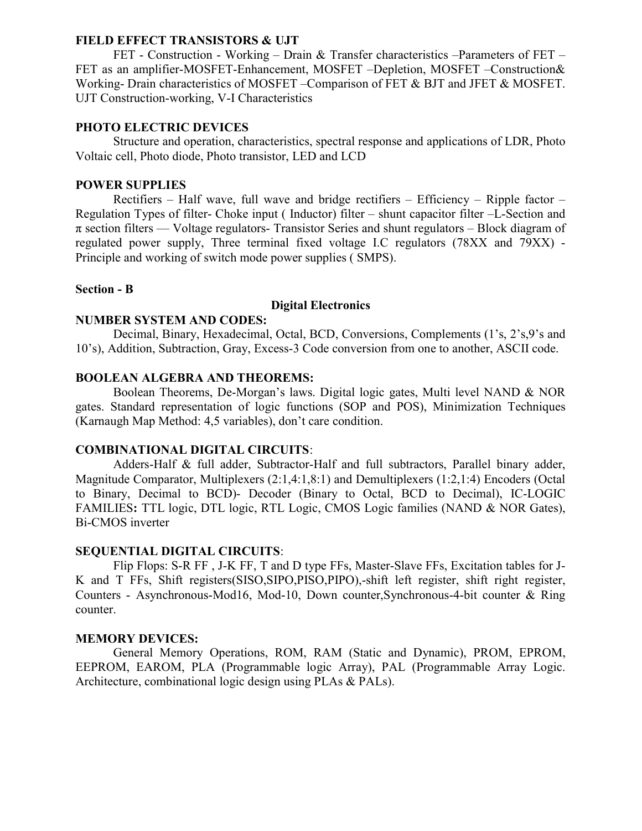## FIELD EFFECT TRANSISTORS & UJT

FET - Construction - Working – Drain & Transfer characteristics –Parameters of FET – FET as an amplifier-MOSFET-Enhancement, MOSFET –Depletion, MOSFET –Construction& Working- Drain characteristics of MOSFET –Comparison of FET & BJT and JFET & MOSFET. UJT Construction-working, V-I Characteristics

## PHOTO ELECTRIC DEVICES

Structure and operation, characteristics, spectral response and applications of LDR, Photo Voltaic cell, Photo diode, Photo transistor, LED and LCD

## POWER SUPPLIES

Rectifiers – Half wave, full wave and bridge rectifiers – Efficiency – Ripple factor – Regulation Types of filter- Choke input ( Inductor) filter – shunt capacitor filter –L-Section and  $\pi$  section filters — Voltage regulators- Transistor Series and shunt regulators – Block diagram of regulated power supply, Three terminal fixed voltage I.C regulators (78XX and 79XX) - Principle and working of switch mode power supplies ( SMPS).

## Section - B

#### Digital Electronics

#### NUMBER SYSTEM AND CODES:

Decimal, Binary, Hexadecimal, Octal, BCD, Conversions, Complements (1's, 2's,9's and 10's), Addition, Subtraction, Gray, Excess-3 Code conversion from one to another, ASCII code.

#### BOOLEAN ALGEBRA AND THEOREMS:

Boolean Theorems, De-Morgan's laws. Digital logic gates, Multi level NAND & NOR gates. Standard representation of logic functions (SOP and POS), Minimization Techniques (Karnaugh Map Method: 4,5 variables), don't care condition.

#### COMBINATIONAL DIGITAL CIRCUITS:

Adders-Half & full adder, Subtractor-Half and full subtractors, Parallel binary adder, Magnitude Comparator, Multiplexers (2:1,4:1,8:1) and Demultiplexers (1:2,1:4) Encoders (Octal to Binary, Decimal to BCD)- Decoder (Binary to Octal, BCD to Decimal), IC-LOGIC FAMILIES: TTL logic, DTL logic, RTL Logic, CMOS Logic families (NAND & NOR Gates), Bi-CMOS inverter

## SEQUENTIAL DIGITAL CIRCUITS:

Flip Flops: S-R FF , J-K FF, T and D type FFs, Master-Slave FFs, Excitation tables for J-K and T FFs, Shift registers(SISO,SIPO,PISO,PIPO),-shift left register, shift right register, Counters - Asynchronous-Mod16, Mod-10, Down counter,Synchronous-4-bit counter & Ring counter.

#### MEMORY DEVICES:

General Memory Operations, ROM, RAM (Static and Dynamic), PROM, EPROM, EEPROM, EAROM, PLA (Programmable logic Array), PAL (Programmable Array Logic. Architecture, combinational logic design using PLAs & PALs).